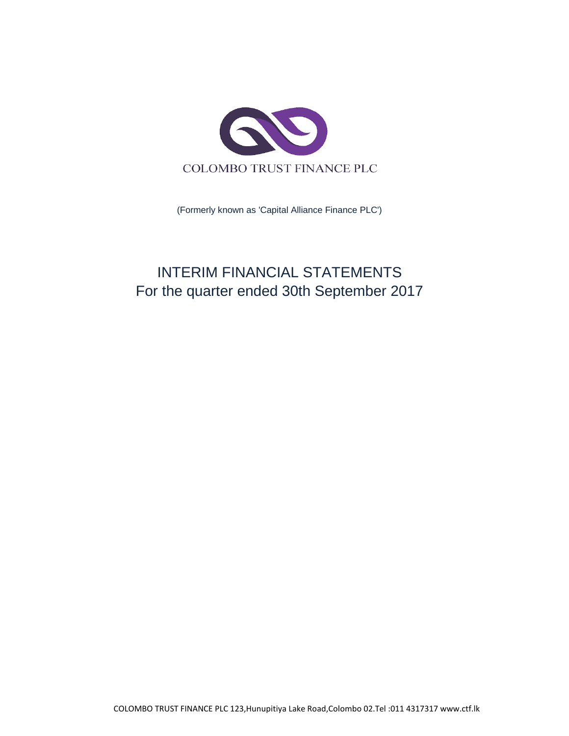

(Formerly known as 'Capital Alliance Finance PLC')

# INTERIM FINANCIAL STATEMENTS For the quarter ended 30th September 2017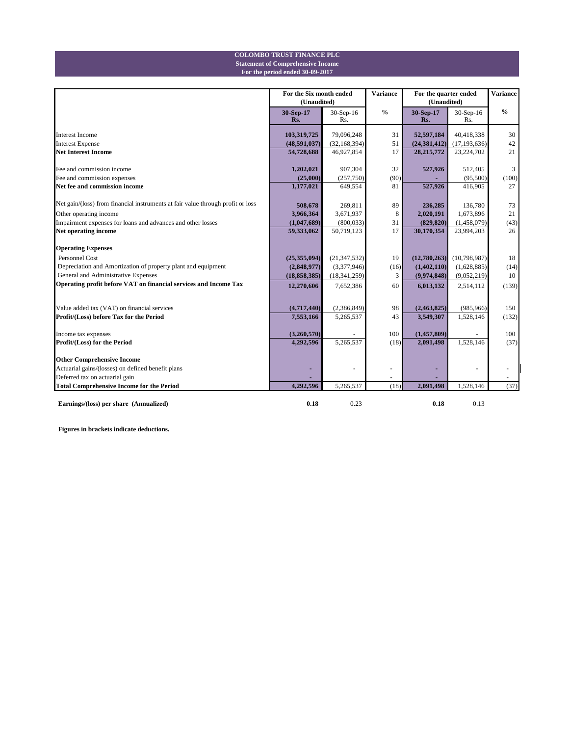#### **Statement of Comprehensive Income COLOMBO TRUST FINANCE PLC**

**For the period ended 30-09-2017**

|                                                                                 | For the Six month ended<br>(Unaudited) |                  | <b>Variance</b> | For the quarter ended<br>(Unaudited) | <b>Variance</b>  |                          |
|---------------------------------------------------------------------------------|----------------------------------------|------------------|-----------------|--------------------------------------|------------------|--------------------------|
|                                                                                 | 30-Sep-17<br>Rs.                       | 30-Sep-16<br>Rs. | $\frac{0}{0}$   | 30-Sep-17<br>Rs.                     | 30-Sep-16<br>Rs. | $\frac{0}{0}$            |
| <b>Interest Income</b>                                                          | 103,319,725                            | 79,096,248       | 31              | 52,597,184                           | 40,418,338       | 30                       |
| <b>Interest Expense</b>                                                         | (48,591,037)                           | (32, 168, 394)   | 51              | (24, 381, 412)                       | (17, 193, 636)   | 42                       |
| <b>Net Interest Income</b>                                                      | 54,728,688                             | 46,927,854       | 17              | 28, 215, 772                         | 23,224,702       | 21                       |
| Fee and commission income                                                       | 1,202,021                              | 907,304          | 32              | 527,926                              | 512,405          | 3                        |
| Fee and commission expenses                                                     | (25,000)                               | (257,750)        | (90)            |                                      | (95,500)         | (100)                    |
| Net fee and commission income                                                   | 1,177,021                              | 649,554          | 81              | 527,926                              | 416,905          | 27                       |
| Net gain/(loss) from financial instruments at fair value through profit or loss | 508,678                                | 269,811          | 89              | 236,285                              | 136,780          | 73                       |
| Other operating income                                                          | 3,966,364                              | 3,671,937        | 8               | 2,020,191                            | 1,673,896        | 21                       |
| Impairment expenses for loans and advances and other losses                     | (1,047,689)                            | (800, 033)       | 31              | (829, 820)                           | (1,458,079)      | (43)                     |
| Net operating income                                                            | 59,333,062                             | 50,719,123       | 17              | 30,170,354                           | 23,994,203       | 26                       |
| <b>Operating Expenses</b>                                                       |                                        |                  |                 |                                      |                  |                          |
| <b>Personnel Cost</b>                                                           | (25,355,094)                           | (21, 347, 532)   | 19              | (12,780,263)                         | (10,798,987)     | 18                       |
| Depreciation and Amortization of property plant and equipment                   | (2,848,977)                            | (3,377,946)      | (16)            | (1,402,110)                          | (1,628,885)      | (14)                     |
| General and Administrative Expenses                                             | (18, 858, 385)                         | (18, 341, 259)   | 3               | (9,974,848)                          | (9,052,219)      | 10                       |
| Operating profit before VAT on financial services and Income Tax                | 12,270,606                             | 7,652,386        | 60              | 6,013,132                            | 2,514,112        | (139)                    |
|                                                                                 |                                        |                  |                 |                                      |                  |                          |
| Value added tax (VAT) on financial services                                     | (4,717,440)                            | (2,386,849)      | 98              | (2,463,825)                          | (985, 966)       | 150                      |
| Profit/(Loss) before Tax for the Period                                         | 7,553,166                              | 5,265,537        | 43              | 3,549,307                            | 1,528,146        | (132)                    |
| Income tax expenses                                                             | (3,260,570)                            |                  | 100             | (1, 457, 809)                        |                  | 100                      |
| Profit/(Loss) for the Period                                                    | 4,292,596                              | 5,265,537        | (18)            | 2,091,498                            | 1,528,146        | (37)                     |
| <b>Other Comprehensive Income</b>                                               |                                        |                  |                 |                                      |                  |                          |
| Actuarial gains/(losses) on defined benefit plans                               |                                        | $\sim$           |                 |                                      |                  |                          |
| Deferred tax on actuarial gain                                                  |                                        |                  |                 |                                      |                  | $\overline{\phantom{a}}$ |
| <b>Total Comprehensive Income for the Period</b>                                | 4,292,596                              | 5,265,537        | (18)            | 2,091,498                            | 1,528,146        | (37)                     |
| Earnings/(loss) per share (Annualized)                                          | 0.18                                   | 0.23             |                 | 0.18                                 | 0.13             |                          |

**Figures in brackets indicate deductions.**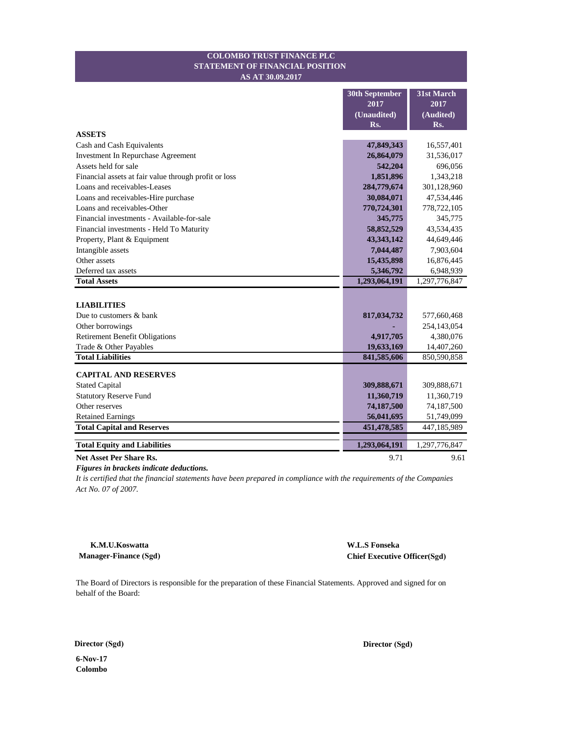#### **STATEMENT OF FINANCIAL POSITION COLOMBO TRUST FINANCE PLC AS AT 30.09.2017**

|                                                       | 31st March<br>30th September |               |  |
|-------------------------------------------------------|------------------------------|---------------|--|
|                                                       | 2017                         | 2017          |  |
|                                                       | (Unaudited)                  | (Audited)     |  |
|                                                       | Rs.                          | Rs.           |  |
| <b>ASSETS</b>                                         |                              |               |  |
| Cash and Cash Equivalents                             | 47,849,343                   | 16,557,401    |  |
| Investment In Repurchase Agreement                    | 26,864,079                   | 31,536,017    |  |
| Assets held for sale                                  | 542,204                      | 696,056       |  |
| Financial assets at fair value through profit or loss | 1,851,896                    | 1,343,218     |  |
| Loans and receivables-Leases                          | 284,779,674                  | 301,128,960   |  |
| Loans and receivables-Hire purchase                   | 30,084,071                   | 47,534,446    |  |
| Loans and receivables-Other                           | 770,724,301                  | 778,722,105   |  |
| Financial investments - Available-for-sale            | 345,775                      | 345,775       |  |
| Financial investments - Held To Maturity              | 58,852,529                   | 43,534,435    |  |
| Property, Plant & Equipment                           | 43, 343, 142                 | 44,649,446    |  |
| Intangible assets                                     | 7,044,487                    | 7,903,604     |  |
| Other assets                                          | 15,435,898                   | 16,876,445    |  |
| Deferred tax assets                                   | 5,346,792                    | 6,948,939     |  |
| <b>Total Assets</b>                                   | 1,293,064,191                | 1,297,776,847 |  |
|                                                       |                              |               |  |
| <b>LIABILITIES</b>                                    |                              |               |  |
| Due to customers & bank                               | 817,034,732                  | 577,660,468   |  |
| Other borrowings                                      |                              | 254,143,054   |  |
| <b>Retirement Benefit Obligations</b>                 | 4,917,705                    | 4,380,076     |  |
| Trade & Other Payables                                | 19,633,169                   | 14,407,260    |  |
| <b>Total Liabilities</b>                              | 841,585,606                  | 850,590,858   |  |
| <b>CAPITAL AND RESERVES</b>                           |                              |               |  |
| <b>Stated Capital</b>                                 | 309,888,671                  | 309,888,671   |  |
| <b>Statutory Reserve Fund</b>                         | 11,360,719                   | 11,360,719    |  |
| Other reserves                                        | 74,187,500                   | 74,187,500    |  |
| <b>Retained Earnings</b>                              | 56,041,695                   | 51,749,099    |  |
| <b>Total Capital and Reserves</b>                     | 451,478,585                  | 447,185,989   |  |
|                                                       |                              |               |  |
| <b>Total Equity and Liabilities</b>                   | 1,293,064,191                | 1,297,776,847 |  |
| <b>Net Asset Per Share Rs.</b>                        | 9.71                         | 9.61          |  |

*Figures in brackets indicate deductions.*

*It is certified that the financial statements have been prepared in compliance with the requirements of the Companies Act No. 07 of 2007.*

**K.M.U.Koswatta Manager-Finance (Sgd)** **W.L.S Fonseka Chief Executive Officer(Sgd)**

The Board of Directors is responsible for the preparation of these Financial Statements. Approved and signed for on behalf of the Board:

**6-Nov-17**

**Colombo**

**Director (Sgd) Director (Sgd)**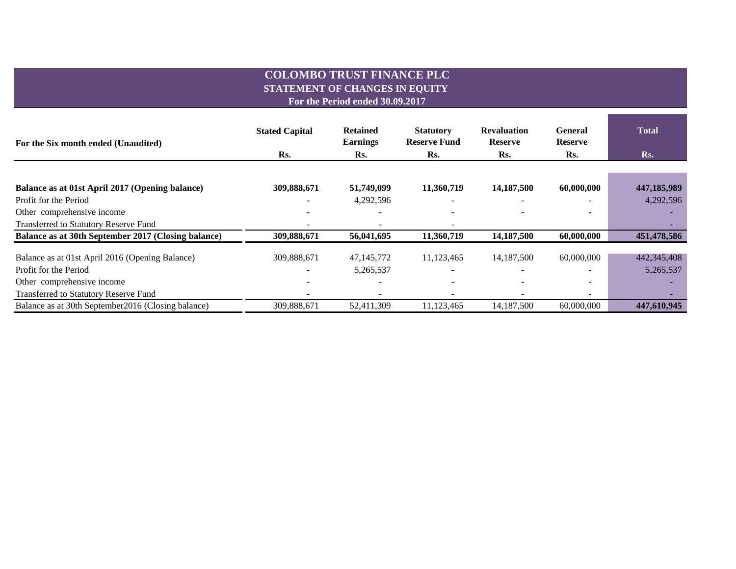# **COLOMBO TRUST FINANCE PLC STATEMENT OF CHANGES IN EQUITY**

**For the Period ended 30.09.2017**

| For the Six month ended (Unaudited)                 | <b>Stated Capital</b> | <b>Retained</b><br><b>Earnings</b> | <b>Statutory</b><br><b>Reserve Fund</b> | <b>Revaluation</b><br><b>Reserve</b> | General<br><b>Reserve</b> | <b>Total</b> |  |
|-----------------------------------------------------|-----------------------|------------------------------------|-----------------------------------------|--------------------------------------|---------------------------|--------------|--|
|                                                     | Rs.                   | Rs.                                | Rs.                                     | Rs.                                  | Rs.                       | Rs.          |  |
|                                                     |                       |                                    |                                         |                                      |                           |              |  |
| Balance as at 01st April 2017 (Opening balance)     | 309,888,671           | 51,749,099                         | 11,360,719                              | 14,187,500                           | 60,000,000                | 447,185,989  |  |
| Profit for the Period                               |                       | 4,292,596                          |                                         |                                      |                           | 4,292,596    |  |
| Other comprehensive income                          |                       |                                    |                                         |                                      |                           |              |  |
| Transferred to Statutory Reserve Fund               |                       |                                    |                                         |                                      |                           |              |  |
| Balance as at 30th September 2017 (Closing balance) | 309,888,671           | 56,041,695                         | 11,360,719                              | 14,187,500                           | 60,000,000                | 451,478,586  |  |
| Balance as at 01st April 2016 (Opening Balance)     | 309,888,671           | 47, 145, 772                       | 11,123,465                              | 14, 187, 500                         | 60,000,000                | 442,345,408  |  |
| Profit for the Period                               |                       | 5,265,537                          |                                         | $\overline{\phantom{a}}$             |                           | 5,265,537    |  |
| Other comprehensive income                          |                       |                                    |                                         |                                      |                           |              |  |
| Transferred to Statutory Reserve Fund               |                       |                                    |                                         |                                      | $\overline{\phantom{0}}$  |              |  |
| Balance as at 30th September 2016 (Closing balance) | 309,888,671           | 52.411.309                         | 11,123,465                              | 14,187,500                           | 60,000,000                | 447,610,945  |  |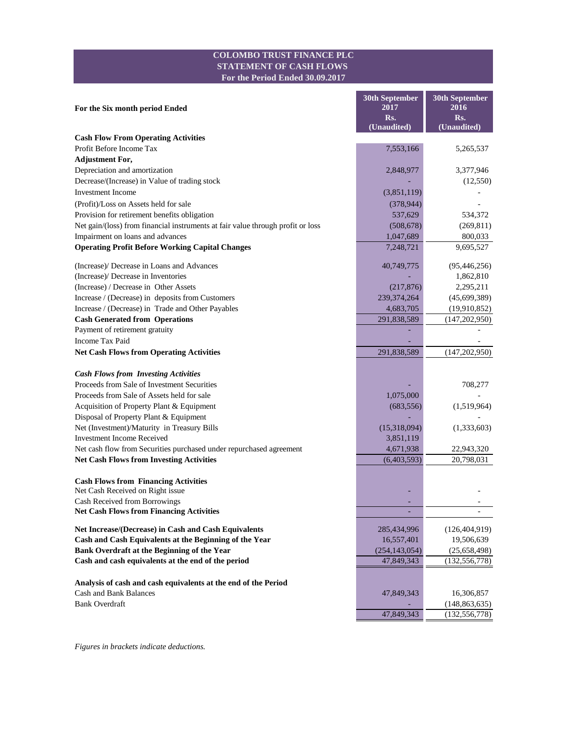### **COLOMBO TRUST FINANCE PLC STATEMENT OF CASH FLOWS For the Period Ended 30.09.2017**

|                                                                                 | <b>30th September</b><br>2017 | 30th September<br>2016 |  |  |
|---------------------------------------------------------------------------------|-------------------------------|------------------------|--|--|
| For the Six month period Ended                                                  | Rs.                           | Rs.                    |  |  |
|                                                                                 | (Unaudited)                   | (Unaudited)            |  |  |
| <b>Cash Flow From Operating Activities</b>                                      |                               |                        |  |  |
| Profit Before Income Tax                                                        | 7,553,166                     | 5,265,537              |  |  |
| <b>Adjustment For,</b>                                                          |                               |                        |  |  |
| Depreciation and amortization                                                   | 2,848,977                     | 3,377,946              |  |  |
| Decrease/(Increase) in Value of trading stock                                   |                               | (12, 550)              |  |  |
| <b>Investment Income</b>                                                        | (3,851,119)                   |                        |  |  |
| (Profit)/Loss on Assets held for sale                                           | (378, 944)                    |                        |  |  |
| Provision for retirement benefits obligation                                    | 537,629                       | 534,372                |  |  |
| Net gain/(loss) from financial instruments at fair value through profit or loss | (508, 678)                    | (269, 811)             |  |  |
| Impairment on loans and advances                                                | 1,047,689                     | 800,033                |  |  |
| <b>Operating Profit Before Working Capital Changes</b>                          | 7,248,721                     | 9,695,527              |  |  |
| (Increase)/ Decrease in Loans and Advances                                      | 40,749,775                    | (95, 446, 256)         |  |  |
| (Increase)/ Decrease in Inventories                                             |                               | 1,862,810              |  |  |
| (Increase) / Decrease in Other Assets                                           | (217, 876)                    | 2,295,211              |  |  |
| Increase / (Decrease) in deposits from Customers                                | 239, 374, 264                 | (45,699,389)           |  |  |
| Increase / (Decrease) in Trade and Other Payables                               | 4,683,705                     | (19,910,852)           |  |  |
| <b>Cash Generated from Operations</b>                                           | 291,838,589                   | (147, 202, 950)        |  |  |
| Payment of retirement gratuity                                                  |                               |                        |  |  |
| Income Tax Paid                                                                 |                               |                        |  |  |
| <b>Net Cash Flows from Operating Activities</b>                                 | 291,838,589                   | (147,202,950)          |  |  |
| <b>Cash Flows from Investing Activities</b>                                     |                               |                        |  |  |
| Proceeds from Sale of Investment Securities                                     |                               | 708,277                |  |  |
| Proceeds from Sale of Assets held for sale                                      | 1,075,000                     |                        |  |  |
| Acquisition of Property Plant & Equipment                                       | (683, 556)                    | (1,519,964)            |  |  |
| Disposal of Property Plant & Equipment                                          |                               |                        |  |  |
| Net (Investment)/Maturity in Treasury Bills                                     | (15,318,094)                  | (1,333,603)            |  |  |
| <b>Investment Income Received</b>                                               | 3,851,119                     |                        |  |  |
| Net cash flow from Securities purchased under repurchased agreement             | 4,671,938                     | 22,943,320             |  |  |
| <b>Net Cash Flows from Investing Activities</b>                                 | (6,403,593)                   | 20,798,031             |  |  |
| <b>Cash Flows from Financing Activities</b>                                     |                               |                        |  |  |
| Net Cash Received on Right issue                                                |                               |                        |  |  |
| Cash Received from Borrowings                                                   |                               |                        |  |  |
| <b>Net Cash Flows from Financing Activities</b>                                 |                               |                        |  |  |
| Net Increase/(Decrease) in Cash and Cash Equivalents                            | 285,434,996                   | (126, 404, 919)        |  |  |
| Cash and Cash Equivalents at the Beginning of the Year                          | 16,557,401                    | 19,506,639             |  |  |
| Bank Overdraft at the Beginning of the Year                                     | (254, 143, 054)               | (25,658,498)           |  |  |
| Cash and cash equivalents at the end of the period                              | 47,849,343                    | (132, 556, 778)        |  |  |
| Analysis of cash and cash equivalents at the end of the Period                  |                               |                        |  |  |
| <b>Cash and Bank Balances</b>                                                   | 47,849,343                    | 16,306,857             |  |  |
| <b>Bank Overdraft</b>                                                           |                               | (148, 863, 635)        |  |  |
|                                                                                 | 47,849,343                    | (132, 556, 778)        |  |  |

*Figures in brackets indicate deductions.*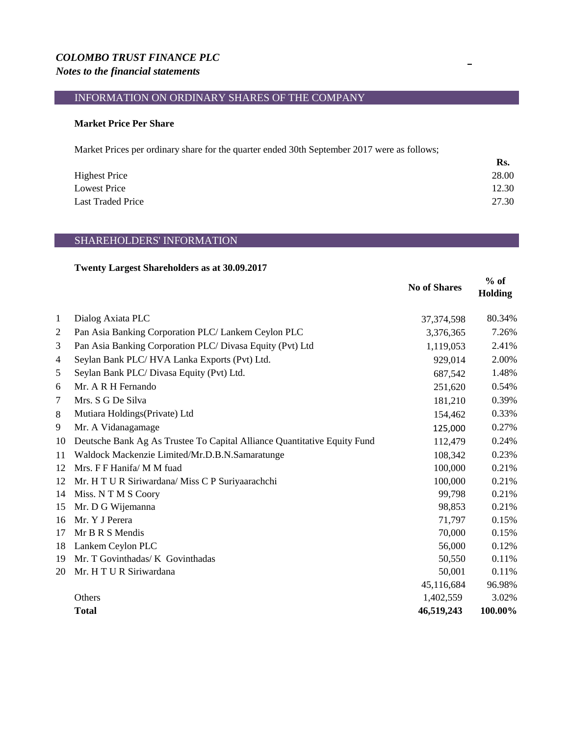# *COLOMBO TRUST FINANCE PLC Notes to the financial statements*

# INFORMATION ON ORDINARY SHARES OF THE COMPANY

### **Market Price Per Share**

Market Prices per ordinary share for the quarter ended 30th September 2017 were as follows;

|                      | Rs.   |
|----------------------|-------|
| <b>Highest Price</b> | 28.00 |
| <b>Lowest Price</b>  | 12.30 |
| Last Traded Price    | 27.30 |

# SHAREHOLDERS' INFORMATION

# **Twenty Largest Shareholders as at 30.09.2017**

|    |                                                                          | <b>No of Shares</b> | $%$ of<br><b>Holding</b> |
|----|--------------------------------------------------------------------------|---------------------|--------------------------|
| 1  | Dialog Axiata PLC                                                        | 37, 374, 598        | 80.34%                   |
| 2  | Pan Asia Banking Corporation PLC/ Lankem Ceylon PLC                      | 3,376,365           | 7.26%                    |
| 3  | Pan Asia Banking Corporation PLC/ Divasa Equity (Pvt) Ltd                | 1,119,053           | 2.41%                    |
| 4  | Seylan Bank PLC/HVA Lanka Exports (Pvt) Ltd.                             | 929,014             | 2.00%                    |
| 5  | Seylan Bank PLC/Divasa Equity (Pvt) Ltd.                                 | 687,542             | 1.48%                    |
| 6  | Mr. A R H Fernando                                                       | 251,620             | 0.54%                    |
| 7  | Mrs. S G De Silva                                                        | 181,210             | 0.39%                    |
| 8  | Mutiara Holdings (Private) Ltd                                           | 154,462             | 0.33%                    |
| 9  | Mr. A Vidanagamage                                                       | 125,000             | 0.27%                    |
| 10 | Deutsche Bank Ag As Trustee To Capital Alliance Quantitative Equity Fund | 112,479             | 0.24%                    |
| 11 | Waldock Mackenzie Limited/Mr.D.B.N.Samaratunge                           | 108,342             | 0.23%                    |
| 12 | Mrs. F F Hanifa/ M M fuad                                                | 100,000             | 0.21%                    |
| 12 | Mr. H T U R Siriwardana/ Miss C P Suriyaarachchi                         | 100,000             | 0.21%                    |
| 14 | Miss. NTMS Coory                                                         | 99,798              | 0.21%                    |
| 15 | Mr. D G Wijemanna                                                        | 98,853              | 0.21%                    |
| 16 | Mr. Y J Perera                                                           | 71,797              | 0.15%                    |
| 17 | Mr B R S Mendis                                                          | 70,000              | 0.15%                    |
| 18 | Lankem Ceylon PLC                                                        | 56,000              | 0.12%                    |
| 19 | Mr. T Govinthadas/ K Govinthadas                                         | 50,550              | 0.11%                    |
| 20 | Mr. H T U R Siriwardana                                                  | 50,001              | 0.11%                    |
|    |                                                                          | 45,116,684          | 96.98%                   |
|    | Others                                                                   | 1,402,559           | 3.02%                    |
|    | <b>Total</b>                                                             | 46,519,243          | 100.00%                  |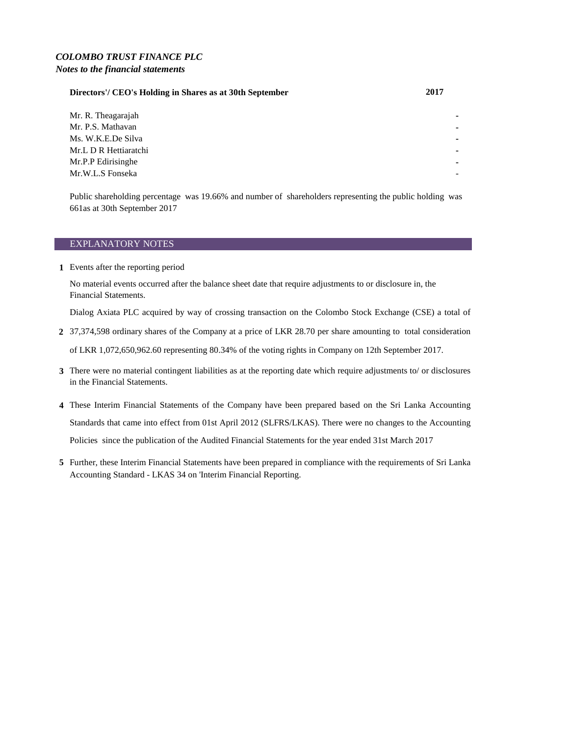### *COLOMBO TRUST FINANCE PLC Notes to the financial statements*

### **Directors'/ CEO's Holding in Shares as at 30th September 2017**

Mr. R. Theagarajah Mr. P.S. Mathavan Ms. W.K.E.De Silva **-** Mr.L D R Hettiaratchi **-** Mr.P.P Edirisinghe Mr.W.L.S Fonseka

Public shareholding percentage was 19.66% and number of shareholders representing the public holding was 661as at 30th September 2017

#### EXPLANATORY NOTES

**1** Events after the reporting period

No material events occurred after the balance sheet date that require adjustments to or disclosure in, the Financial Statements.

Dialog Axiata PLC acquired by way of crossing transaction on the Colombo Stock Exchange (CSE) a total of

- **2** 37,374,598 ordinary shares of the Company at a price of LKR 28.70 per share amounting to total consideration of LKR 1,072,650,962.60 representing 80.34% of the voting rights in Company on 12th September 2017.
- **3** There were no material contingent liabilities as at the reporting date which require adjustments to/ or disclosures in the Financial Statements.
- **4** These Interim Financial Statements of the Company have been prepared based on the Sri Lanka Accounting Standards that came into effect from 01st April 2012 (SLFRS/LKAS). There were no changes to the Accounting Policies since the publication of the Audited Financial Statements for the year ended 31st March 2017
- **5** Further, these Interim Financial Statements have been prepared in compliance with the requirements of Sri Lanka Accounting Standard - LKAS 34 on 'Interim Financial Reporting.